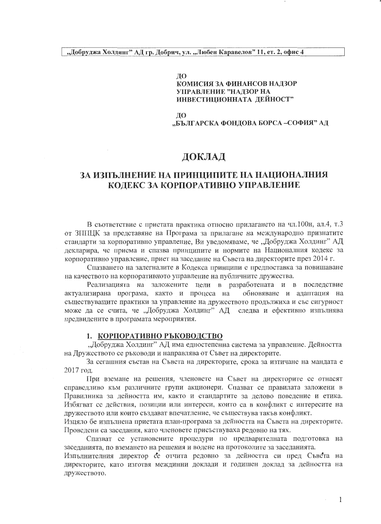#### ЛΟ КОМИСИЯ ЗА ФИНАНСОВ НАДЗОР УПРАВЛЕНИЕ "НАДЗОР НА ИНВЕСТИЦИОННАТА ДЕЙНОСТ"

ДΟ

"БЪЛГАРСКА ФОНДОВА БОРСА -СОФИЯ" АД

### ДОКЛАД

### ЗА ИЗПЪЛНЕНИЕ НА ПРИНЦИПИТЕ НА НАЦИОНАЛНИЯ КОЛЕКС ЗА КОРПОРАТИВНО УПРАВЛЕНИЕ

В съответствие с приетата практика относно прилагането на чл.100н, ал.4, т.3 от ЗППЦК за представяне на Програма за прилагане на международно признатите стандарти за корпоративно управление, Ви уведомяваме, че "Добруджа Холдинг" АД декларира, че приема и спазва принципите и нормите на Националния кодекс за корпоративно управление, приет на заседание на Съвета на директорите през 2014 г.

Спазването на залегналите в Кодекса принципи е предпоставка за повишаване на качеството на корпоративното управление на публичните дружества.

Реализацията на заложените цели в разработената и в последствие актуализирана програма, както и процеса на обновяване и адаптация на съществуващите практики за управление на дружеството продължиха и със сигурност може да се счита, че "Добруджа Холдинг" АД следва и ефективно изпълнява предвидените в програмата мероприятия.

#### 1. КОРПОРАТИВНО РЪКОВОДСТВО

"Добруджа Холдинг" АД има едностепенна система за управление. Дейността на Дружеството се ръководи и направлява от Съвет на директорите.

За сегашния състав на Съвета на директорите, срока за изтичане на мандата е 2017 год.

При вземане на решения, членовете на Съвет на директорите се отнасят справедливо към различните групи акционери. Спазват се правилата заложени в Правилника за дейността им, както и стандартите за делово поведение и етика. Избягват се действия, позиции или интереси, които са в конфликт с интересите на дружеството или които създават впечатление, че съществува такъв конфликт.

Изцяло бе изпълнена приетата план-програма за дейността на Съвета на директорите. Проведени са заседания, като членовете присъствуваха редовно на тях.

Спазват се установените процедури по предварителната подготовка на заседанията, по вземането на решения и водене на протоколите за заседанията.

Изпълнителния директор се отчита редовно за дейността си пред Съвета на директорите, като изготвя междинни доклади и годишен доклад за дейността на дружеството.

1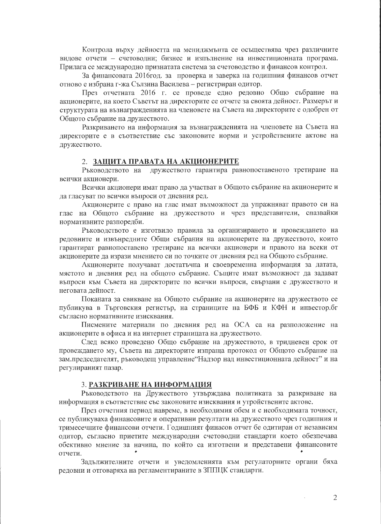Контрола върху дейността на мениджмънта се осъществява чрез различните видове отчети - счетоводни; бизнес и изпълнение на инвестиционната програма. Прилага се международно признатата система за счетоводство и финансов контрол.

За финансовата 2016год. за проверка и заверка на годишния финансов отчет отново е избрана г-жа Сълзина Василева - регистриран одитор.

През отчетната 2016 г. се проведе едно редовно Общо събрание на акционерите, на което Съветът на директорите се отчете за своята дейност. Размерът и структурата на възнагражденията на членовете на Съвета на директорите е одобрен от Общото събрание на дружеството.

Разкриването на информация за възнагражденията на членовете на Съвета на директорите е в съответствие със законовите норми и устройствените актове на дружеството.

#### 2. ЗАЩИТА ПРАВАТА НА АКЦИОНЕРИТЕ

Ръководството на дружеството гарантира равнопоставеното третиране на всички акционери.

Всички акционери имат право да участват в Общото събрание на акционерите и да гласуват по всички въпроси от дневния ред.

Акционерите с право на глас имат възможност да упражняват правото си на глас на Общото събрание на дружеството и чрез представители, спазвайки нормативните разпоредби.

Ръководството е изготвило правила за организирането и провеждането на редовните и извънредните Общи събрания на акционерите на дружеството, които гарантират равнопоставено третиране на всички акционери и правото на всеки от акционерите да изрази мнението си по точките от дневния ред на Общото събрание.

Акционерите получават достатьчна и своевременна информация за датата, мястото и дневния ред на общото събрание. Същите имат възможност да задават въпроси към Съвета на директорите по всички въпроси, свързани с дружеството и неговата дейност.

Поканата за свикване на Общото събрание на акционерите на дружеството се публикува в Търговския регистър, на страниците на БФБ и КФН и инвестор. бг съгласно нормативните изисквания.

Писмените материали по дневния ред на ОСА са на разположение на акционерите в офиса и на интернет страницата на дружеството.

След всяко проведено Общо събрание на дружеството, в тридневен срок от провеждането му, Съвета на директорите изпраща протокол от Общото събрание на зам. председателят, ръководещ управление"Надзор над инвестиционната дейност" и на регулираният пазар.

#### 3. РАЗКРИВАНЕ НА ИНФОРМАЦИЯ

Ръководството на Дружеството утвърждава политиката за разкриване на информация в съответствие със законовите изисквания и утройствените актове.

През отчетния период навреме, в необходимия обем и с необходимата точност, се публикуваха финансовите и оперативни резултати на дружеството чрез годишния и тримесечните финансови отчети. Годишният финасов отчет бе одитиран от независим одитор, съгласно приетите международни счетоводни стандарти което обезпечава обективно мнение за начина, по който са изготвени и представени финансовите отчети.

Задължителните отчети и уведомленията към регулаторните органи бяха редовни и отговаряха на регламентираните в ЗППЦК стандарти.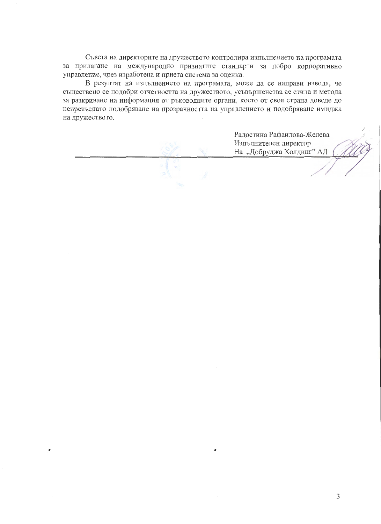Съвета на директорите на дружеството контролира изпълнението на програмата за прилагане на международно признатите стандарти за добро корпоративно управление, чрез изработена и приета система за оценка.

В резултат на изпълнението на програмата, може да се направи извода, че съществено се подобри отчетността на дружеството, усъвършенства се стила и метода за разкриване на информация от ръководните органи, което от своя страна доведе до непрекъснато подобряване на прозрачността на управлението и подобряване имиджа на дружеството.

Радостина Рафаилова-Желева Изпълнителен директор На "Добруджа Холдинг" АД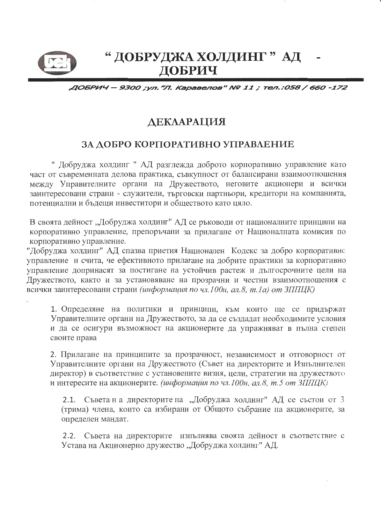

# " ДОБРУДЖА ХОЛДИНГ "АД ДОБРИЧ

### ДОБРИЧ - 9300 ;ул."Л. Каравелов" № 11 ; тел.:058 / 660 -172

## ДЕКЛАРАЦИЯ

### ЗА ДОБРО КОРПОРАТИВНО УПРАВЛЕНИЕ

" Добруджа холдинг " АД разглежда доброто корпоративно управление като част от съвременната делова практика, съвкупност от балансирани взаимоотношения между Управителните органи на Дружеството, неговите акционери и всички заинтересовани страни - служители, търговски партньори, кредитори на компанията, потенциални и бъдещи инвеститори и обществото като цяло.

В своята дейност "Добруджа холдинг" АД се ръководи от националните принципи на корпоративно управление, препоръчани за прилагане от Националната комисия по корпоративно управление.

"Добруджа холдинг" АД спазва приетия Национален Кодекс за добро корпоративно управление и счита, че ефективното прилагане на добрите практики за корпоративно управление допринасят за постигане на устойчив растеж и дългосрочните цели на Дружеството, както и за установяване на прозрачни и честни взаимоотношения с всички заинтересовани страни (информация по чл. 100н, ал.8, т. 1а) от ЗППЦК)

1. Определяне на политики и принципи, към които ще се придържат Управителните органи на Дружеството, за да се създадат необходимите условия и да се осигури възможност на акционерите да упражняват в пълна степен своите права

2. Прилагане на принципите за прозрачност, независимост и отговорност от Управителните органи на Дружеството (Съвет на директорите и Изпълнителен директор) в съответствие с установените визия, цели, стратегии на дружеството и интересите на акционерите. (информация по чл. 100н, ал.8, т.5 от ЗППЦК)

2.1. Съвета на директорите на "Добруджа холдинг" АД се състои от 3 (трима) члена, които са избирани от Общото събрание на акционерите, за определен мандат.

2.2. Съвета на директорите изпълнява своята дейност в съответствие с Устава на Акционерно дружество "Добруджа холдинг" АД.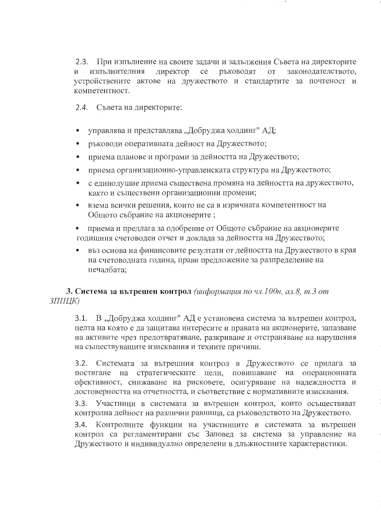$2.3.$ При изпълнение на своите задачи и задължения Съвета на директорите директор изпълнителния ce **РЪКОВОДЯТ OT** законодателството. устройствените актове на дружеството и стандартите за почтеност и компетентност.

2.4. Съвета на директорите:

- управлява и представлява "Добруджа холдинг" АД;
- ръководи оперативната дейност на Дружеството;
- приема планове и програми за дейността на Дружеството;  $\bullet$
- приема организационно-управленската структура на Дружеството;
- с единодушие приема съществена промяна на дейността на дружеството, както и съществени организационни промени;
- взема всички решения, които не са в изричната компетентност на Общото събрание на акционерите;
- приема и предлага за одобрение от Общото събрание на акционерите годишния счетоводен отчет и доклада за дейността на Дружеството;
- въз основа на финансовите резултати от дейността на Дружеството в края на счетоводната година, прави предложение за разпределение на печалбата:

### 3. Система за вътрешен контрол (информация по чл.100н, ал.8, т.3 от ЗППЦК)

В "Добруджа холдинг" АД е установена система за вътрешен контрол,  $3.1.$ целта на която е да защитава интересите и правата на акционерите, запазване на активите чрез предотвратяване, разкриване и отстраняване на нарушения на съществуващите изисквания и техните причини.

3.2. Системата за вътрешния контрол в Дружеството се прилага за постигане на стратегическите цели, повишаване на операционната ефективност, снижаване на рисковете, осигуряване на надеждността и достоверността на отчетността, и съответствие с нормативните изисквания.

 $3.3.$ Участници в системата за вътрешен контрол, които осъществяват контролна дейност на различни равнища, са ръководството на Дружеството.

3.4. Контролните функции на участниците в системата за вътрешен контрол са регламентирани със Заповед за система за управление на Дружеството и индивидуално определени в длъжностните характеристики.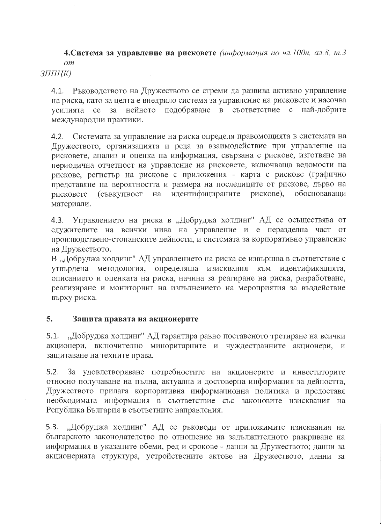4. Система за управление на рисковете (информация по чл. 100н, ал.8, т.3  $om$ 

ЗППЦК)

4.1. Ръководството на Дружеството се стреми да развива активно управление на риска, като за целта е внедрило система за управление на рисковете и насочва усилията се за нейното подобряване в съответствие с най-добрите международни практики.

4.2. Системата за управление на риска определя правомощията в системата на Дружеството, организацията и реда за взаимодействие при управление на рисковете, анализ и оценка на информация, свързана с рискове, изготвяне на периодична отчетност на управление на рисковете, включваща ведомости на рискове, регистър на рискове с приложения - карта с рискове (графично представяне на вероятността и размера на последиците от рискове, дърво на на идентифицираните рискове), обосноваващи (съвкупност рисковете материали.

4.3. Управлението на риска в "Добруджа холдинг" АД се осъществява от служителите на всички нива на управление и е неразделна част от производствено-стопанските дейности, и системата за корпоративно управление на Дружеството.

В "Добруджа холдинг" АД управлението на риска се извършва в съответствие с утвърдена методология, определяща изисквания към идентификацията, описанието и оценката на риска, начина за реагиране на риска, разработване, реализиране и мониторинг на изпълнението на мероприятия за въздействие върху риска.

#### 5. Защита правата на акционерите

5.1. "Добруджа холдинг" АД гарантира равно поставеното третиране на всички акционери, включително миноритарните и чуждестранните акционери, и защитаване на техните права.

5.2. За удовлетворяване потребностите на акционерите и инвеститорите относно получаване на пълна, актуална и достоверна информация за дейността, Дружеството прилага корпоративна информационна политика и предоставя необходимата информация в съответствие със законовите изисквания на Република България в съответните направления.

5.3. "Добруджа холдинг" АД се ръководи от приложимите изисквания на българското законодателство по отношение на задължителното разкриване на информация в указаните обеми, ред и срокове - данни за Дружеството; данни за акционерната структура, устройствените актове на Дружеството, данни за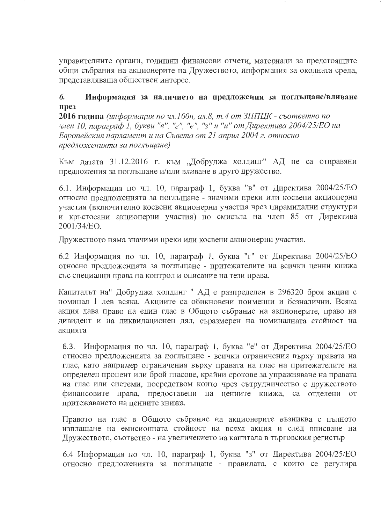управителните органи, годишни финансови отчети, материали за предстоящите общи събрания на акционерите на Дружеството, информация за околната среда, представляваща обществен интерес.

#### 6. Информация за наличието на предложения за поглъщане/вливане IIDe<sub>3</sub>

**2016 година** (информация по чл.100н, ал.8, т.4 от ЗППЦК - съответно по член 10, параграф 1, букви "в", "г", "е", "з" и "и" от Директива 2004/25/ЕО на Европейския парламент и на Съвета от 21 април 2004 г. относно предложенията за поглъшане)

Към датата 31.12.2016 г. към "Добруджа холдинг" АД не са отправяни предложения за поглъщане и/или вливане в друго дружество.

6.1. Информация по чл. 10, параграф 1, буква "в" от Директива 2004/25/ЕО относно предложенията за поглъщане - значими преки или косвени акционерни участия (включително косвени акционерни участия чрез пирамидални структури и кръстосани акционерни участия) по смисъла на член 85 от Директива 2001/34/EO.

Дружеството няма значими преки или косвени акционерни участия.

6.2 Информация по чл. 10, параграф 1, буква "г" от Директива 2004/25/ЕО относно предложенията за поглъщане - притежателите на всички ценни книжа със специални права на контрол и описание на тези права.

Капиталът на" Добруджа холдинг "АД е разпределен в 296320 броя акции с номинал 1 лев всяка. Акциите са обикновени поименни и безналични. Всяка акция дава право на един глас в Общото събрание на акционерите, право на дивидент и на ликвидационен дял, съразмерен на номиналната стойност на акцията

6.3. Информация по чл. 10, параграф 1, буква "е" от Директива 2004/25/ЕО относно предложенията за поглъщане - всички ограничения върху правата на глас, като например ограничения върху правата на глас на притежателите на определен процент или брой гласове, крайни срокове за упражняване на правата на глас или системи, посредством които чрез сътрудничество с дружеството финансовите права, предоставени на ценните книжа, са отделени от притежаването на ценните книжа.

Правото на глас в Общото събрание на акционерите възниква с пълното изплащане на емисионната стойност на всяка акция и след вписване на Дружеството, съответно - на увеличението на капитала в търговския регистър

6.4 Информация по чл. 10, параграф 1, буква "з" от Директива 2004/25/ЕО относно предложенията за поглъщане - правилата, с които се регулира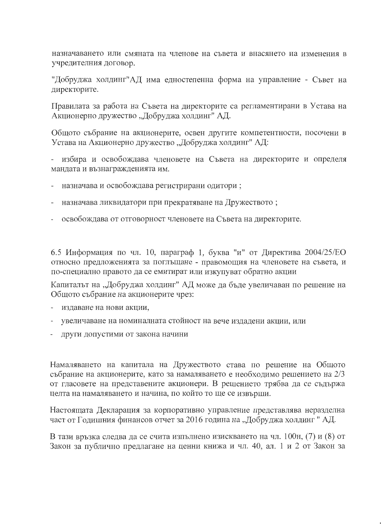назначаването или смяната на членове на съвета и внасянето на изменения в учредителния договор.

"Добруджа холдинг"АД има едностепенна форма на управление - Съвет на директорите.

Правилата за работа на Съвета на директорите са регламентирани в Устава на Акционерно дружество "Добруджа холдинг" АД.

Общото събрание на акционерите, освен другите компетентности, посочени в Устава на Акционерно дружество "Добруджа холдинг" АД:

- избира и освобождава членовете на Съвета на директорите и определя мандата и възнагражденията им.

- назначава и освобождава регистрирани одитори;
- назначава ликвидатори при прекратяване на Дружеството;
- освобождава от отговорност членовете на Съвета на директорите.

6.5 Информация по чл. 10, параграф 1, буква "и" от Директива 2004/25/ЕО относно предложенията за поглъщане - правомощия на членовете на съвета, и по-специално правото да се емитират или изкупуват обратно акции

Капиталът на "Добруджа холдинг" АД може да бъде увеличаван по решение на Общото събрание на акционерите чрез:

- издаване на нови акции,
- увеличаване на номиналната стойност на вече издадени акции, или
- други допустими от закона начини

Намаляването на капитала на Дружеството става по решение на Общото събрание на акционерите, като за намаляването е необходимо решението на 2/3 от гласовете на представените акционери. В решението трябва да се съдържа целта на намаляването и начина, по който то ще се извърши.

Настоящата Декларация за корпоративно управление представлява неразделна част от Годишния финансов отчет за 2016 година на "Добруджа холдинг" АД.

В тази връзка следва да се счита изпълнено изискването на чл. 100н, (7) и (8) от Закон за публично предлагане на ценни книжа и чл. 40, ал. 1 и 2 от Закон за